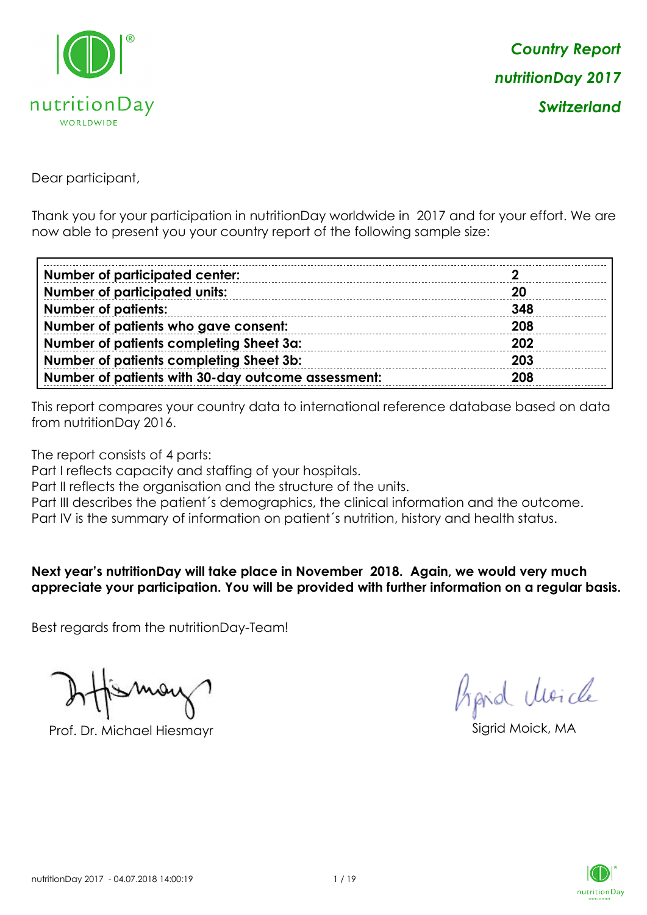

Dear participant,

Thank you for your participation in nutritionDay worldwide in 2017 and for your effort. We are now able to present you your country report of the following sample size:

| <b>Number of participated center:</b>              |     |
|----------------------------------------------------|-----|
| <b>Number of participated units:</b>               | -20 |
| <b>Number of patients:</b>                         | 348 |
| Number of patients who gave consent:               | 208 |
| Number of patients completing Sheet 3a:            | 202 |
| <b>Number of patients completing Sheet 3b:</b>     | 203 |
| Number of patients with 30-day outcome assessment: | 208 |

This report compares your country data to international reference database based on data from nutritionDay 2016.

The report consists of 4 parts:

Part I reflects capacity and staffing of your hospitals.

Part II reflects the organisation and the structure of the units.

Part III describes the patient's demographics, the clinical information and the outcome.

Part IV is the summary of information on patient´s nutrition, history and health status.

#### **Next year's nutritionDay will take place in November 2018. Again, we would very much appreciate your participation. You will be provided with further information on a regular basis.**

Best regards from the nutritionDay-Team!

Prof. Dr. Michael Hiesmayr Sigrid Moick, MA

Aprid Unicle

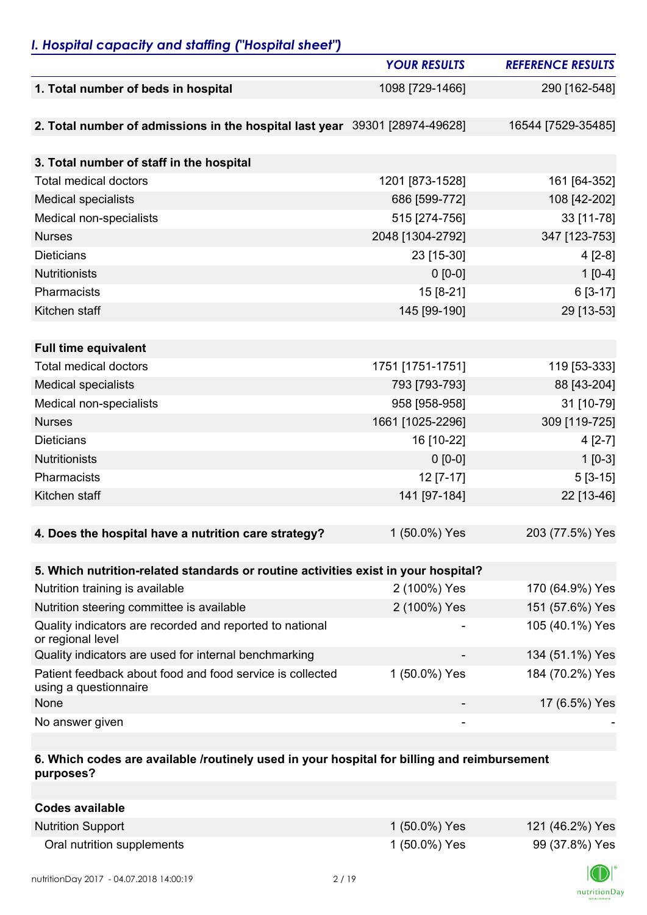## *I. Hospital capacity and staffing ("Hospital sheet")*

|                                                                                    | <b>YOUR RESULTS</b> | <b>REFERENCE RESULTS</b> |
|------------------------------------------------------------------------------------|---------------------|--------------------------|
| 1. Total number of beds in hospital                                                | 1098 [729-1466]     | 290 [162-548]            |
|                                                                                    |                     |                          |
| 2. Total number of admissions in the hospital last year 39301 [28974-49628]        |                     | 16544 [7529-35485]       |
|                                                                                    |                     |                          |
| 3. Total number of staff in the hospital                                           |                     |                          |
| <b>Total medical doctors</b>                                                       | 1201 [873-1528]     | 161 [64-352]             |
| <b>Medical specialists</b>                                                         | 686 [599-772]       | 108 [42-202]             |
| Medical non-specialists                                                            | 515 [274-756]       | 33 [11-78]               |
| <b>Nurses</b>                                                                      | 2048 [1304-2792]    | 347 [123-753]            |
| <b>Dieticians</b>                                                                  | 23 [15-30]          | $4[2-8]$                 |
| <b>Nutritionists</b>                                                               | $0 [0-0]$           | $1[0-4]$                 |
| Pharmacists                                                                        | 15 [8-21]           | $6[3-17]$                |
| Kitchen staff                                                                      | 145 [99-190]        | 29 [13-53]               |
|                                                                                    |                     |                          |
| <b>Full time equivalent</b>                                                        |                     |                          |
| <b>Total medical doctors</b>                                                       | 1751 [1751-1751]    | 119 [53-333]             |
| <b>Medical specialists</b>                                                         | 793 [793-793]       | 88 [43-204]              |
| Medical non-specialists                                                            | 958 [958-958]       | 31 [10-79]               |
| <b>Nurses</b>                                                                      | 1661 [1025-2296]    | 309 [119-725]            |
| <b>Dieticians</b>                                                                  | 16 [10-22]          | $4[2-7]$                 |
| <b>Nutritionists</b>                                                               | $0 [0-0]$           | $1 [0-3]$                |
| Pharmacists                                                                        | 12 [7-17]           | $5[3-15]$                |
| Kitchen staff                                                                      | 141 [97-184]        | 22 [13-46]               |
|                                                                                    |                     |                          |
| 4. Does the hospital have a nutrition care strategy?                               | 1 (50.0%) Yes       | 203 (77.5%) Yes          |
|                                                                                    |                     |                          |
| 5. Which nutrition-related standards or routine activities exist in your hospital? |                     |                          |
| Nutrition training is available                                                    | 2 (100%) Yes        | 170 (64.9%) Yes          |
| Nutrition steering committee is available                                          | 2 (100%) Yes        | 151 (57.6%) Yes          |
| Quality indicators are recorded and reported to national<br>or regional level      |                     | 105 (40.1%) Yes          |
| Quality indicators are used for internal benchmarking                              |                     | 134 (51.1%) Yes          |
| Patient feedback about food and food service is collected<br>using a questionnaire | 1 (50.0%) Yes       | 184 (70.2%) Yes          |
| None                                                                               |                     | 17 (6.5%) Yes            |
| No answer given                                                                    |                     |                          |

### **6. Which codes are available /routinely used in your hospital for billing and reimbursement purposes?**

| Codes available            |               |                 |
|----------------------------|---------------|-----------------|
| <b>Nutrition Support</b>   | 1 (50.0%) Yes | 121 (46.2%) Yes |
| Oral nutrition supplements | 1 (50.0%) Yes | 99 (37.8%) Yes  |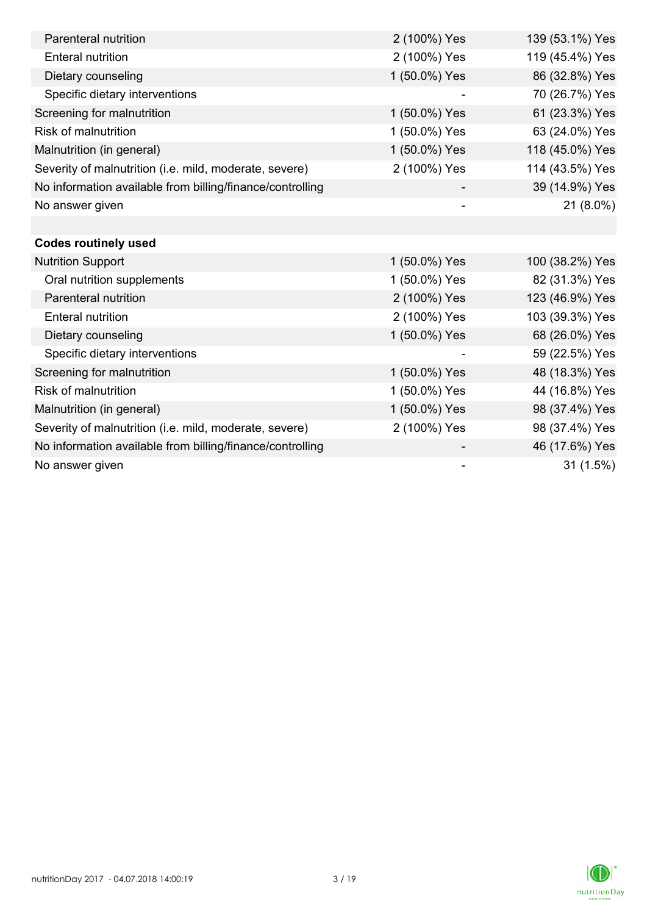| Parenteral nutrition                                      | 2 (100%) Yes  | 139 (53.1%) Yes |
|-----------------------------------------------------------|---------------|-----------------|
| <b>Enteral nutrition</b>                                  | 2 (100%) Yes  | 119 (45.4%) Yes |
| Dietary counseling                                        | 1 (50.0%) Yes | 86 (32.8%) Yes  |
| Specific dietary interventions                            |               | 70 (26.7%) Yes  |
| Screening for malnutrition                                | 1 (50.0%) Yes | 61 (23.3%) Yes  |
| <b>Risk of malnutrition</b>                               | 1 (50.0%) Yes | 63 (24.0%) Yes  |
| Malnutrition (in general)                                 | 1 (50.0%) Yes | 118 (45.0%) Yes |
| Severity of malnutrition (i.e. mild, moderate, severe)    | 2 (100%) Yes  | 114 (43.5%) Yes |
| No information available from billing/finance/controlling |               | 39 (14.9%) Yes  |
| No answer given                                           |               | 21 (8.0%)       |
|                                                           |               |                 |
| <b>Codes routinely used</b>                               |               |                 |
| <b>Nutrition Support</b>                                  | 1 (50.0%) Yes | 100 (38.2%) Yes |
| Oral nutrition supplements                                | 1 (50.0%) Yes | 82 (31.3%) Yes  |
| Parenteral nutrition                                      | 2 (100%) Yes  | 123 (46.9%) Yes |
| <b>Enteral nutrition</b>                                  | 2 (100%) Yes  | 103 (39.3%) Yes |
| Dietary counseling                                        | 1 (50.0%) Yes | 68 (26.0%) Yes  |
| Specific dietary interventions                            |               | 59 (22.5%) Yes  |
| Screening for malnutrition                                | 1 (50.0%) Yes | 48 (18.3%) Yes  |
| <b>Risk of malnutrition</b>                               | 1 (50.0%) Yes | 44 (16.8%) Yes  |
| Malnutrition (in general)                                 | 1 (50.0%) Yes | 98 (37.4%) Yes  |
| Severity of malnutrition (i.e. mild, moderate, severe)    | 2 (100%) Yes  | 98 (37.4%) Yes  |
| No information available from billing/finance/controlling |               | 46 (17.6%) Yes  |
| No answer given                                           |               | 31(1.5%)        |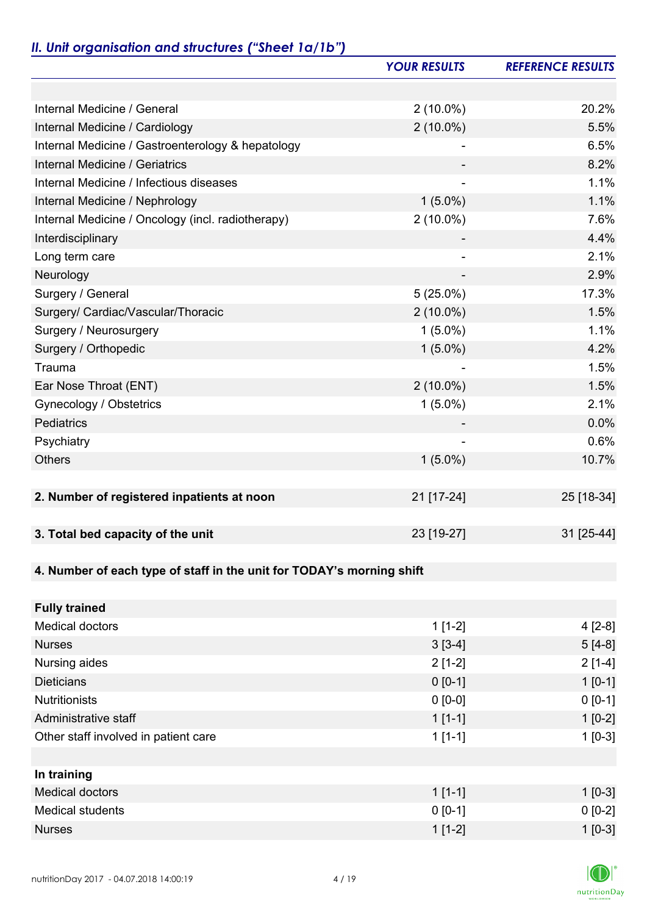# *II. Unit organisation and structures ("Sheet 1a/1b")*

|                                                                       | <b>YOUR RESULTS</b> | <b>REFERENCE RESULTS</b> |
|-----------------------------------------------------------------------|---------------------|--------------------------|
|                                                                       |                     |                          |
| Internal Medicine / General                                           | $2(10.0\%)$         | 20.2%                    |
| Internal Medicine / Cardiology                                        | $2(10.0\%)$         | 5.5%                     |
| Internal Medicine / Gastroenterology & hepatology                     |                     | 6.5%                     |
| Internal Medicine / Geriatrics                                        |                     | 8.2%                     |
| Internal Medicine / Infectious diseases                               |                     | 1.1%                     |
| Internal Medicine / Nephrology                                        | $1(5.0\%)$          | 1.1%                     |
| Internal Medicine / Oncology (incl. radiotherapy)                     | $2(10.0\%)$         | 7.6%                     |
| Interdisciplinary                                                     |                     | 4.4%                     |
| Long term care                                                        |                     | 2.1%                     |
| Neurology                                                             |                     | 2.9%                     |
| Surgery / General                                                     | $5(25.0\%)$         | 17.3%                    |
| Surgery/ Cardiac/Vascular/Thoracic                                    | $2(10.0\%)$         | 1.5%                     |
| Surgery / Neurosurgery                                                | $1(5.0\%)$          | 1.1%                     |
| Surgery / Orthopedic                                                  | $1(5.0\%)$          | 4.2%                     |
| Trauma                                                                |                     | 1.5%                     |
| Ear Nose Throat (ENT)                                                 | $2(10.0\%)$         | 1.5%                     |
| Gynecology / Obstetrics                                               | $1(5.0\%)$          | 2.1%                     |
| Pediatrics                                                            |                     | 0.0%                     |
| Psychiatry                                                            |                     | 0.6%                     |
| <b>Others</b>                                                         | $1(5.0\%)$          | 10.7%                    |
|                                                                       |                     |                          |
| 2. Number of registered inpatients at noon                            | 21 [17-24]          | 25 [18-34]               |
|                                                                       |                     |                          |
| 3. Total bed capacity of the unit                                     | 23 [19-27]          | 31 [25-44]               |
|                                                                       |                     |                          |
| 4. Number of each type of staff in the unit for TODAY's morning shift |                     |                          |
|                                                                       |                     |                          |
| <b>Fully trained</b>                                                  |                     |                          |
| <b>Medical doctors</b>                                                | $1[1-2]$            | $4[2-8]$                 |
| <b>Nurses</b>                                                         | $3[3-4]$            | $5[4-8]$                 |
| Nursing aides                                                         | $2[1-2]$            | $2[1-4]$                 |
| <b>Dieticians</b>                                                     | $0 [0-1]$           | $1 [0-1]$                |
| <b>Nutritionists</b>                                                  | $0 [0-0]$           | $0 [0-1]$                |
| Administrative staff                                                  | $1[1-1]$            | $1[0-2]$                 |
| Other staff involved in patient care                                  | $1[1-1]$            | $1[0-3]$                 |
|                                                                       |                     |                          |
| In training                                                           |                     |                          |
| <b>Medical doctors</b>                                                | $1[1-1]$            | $1$ [0-3]                |
| <b>Medical students</b>                                               | $0 [0-1]$           | $0 [0-2]$                |
| <b>Nurses</b>                                                         | $1[1-2]$            | $1 [0-3]$                |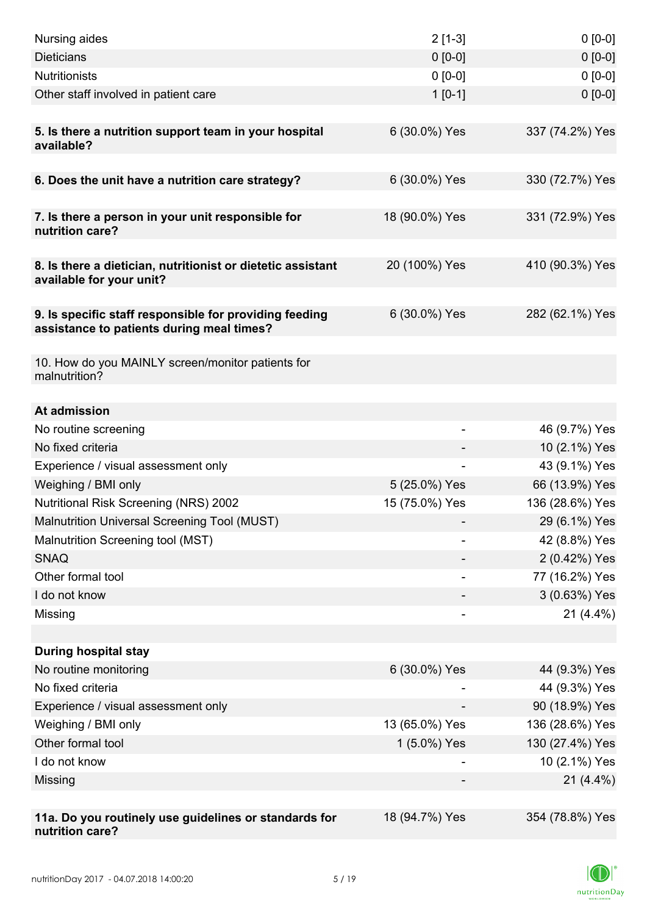| Nursing aides                                                                                       | $2[1-3]$       | $0[0-0]$        |
|-----------------------------------------------------------------------------------------------------|----------------|-----------------|
| <b>Dieticians</b>                                                                                   | $0 [0-0]$      | $0 [0-0]$       |
| <b>Nutritionists</b>                                                                                | $0 [0-0]$      | $0[0-0]$        |
| Other staff involved in patient care                                                                | $1[0-1]$       | $0 [0-0]$       |
|                                                                                                     |                |                 |
| 5. Is there a nutrition support team in your hospital<br>available?                                 | 6 (30.0%) Yes  | 337 (74.2%) Yes |
| 6. Does the unit have a nutrition care strategy?                                                    | 6 (30.0%) Yes  | 330 (72.7%) Yes |
|                                                                                                     |                |                 |
| 7. Is there a person in your unit responsible for<br>nutrition care?                                | 18 (90.0%) Yes | 331 (72.9%) Yes |
| 8. Is there a dietician, nutritionist or dietetic assistant<br>available for your unit?             | 20 (100%) Yes  | 410 (90.3%) Yes |
| 9. Is specific staff responsible for providing feeding<br>assistance to patients during meal times? | 6 (30.0%) Yes  | 282 (62.1%) Yes |
| 10. How do you MAINLY screen/monitor patients for<br>malnutrition?                                  |                |                 |
| At admission                                                                                        |                |                 |
| No routine screening                                                                                |                | 46 (9.7%) Yes   |
| No fixed criteria                                                                                   |                | 10 (2.1%) Yes   |
| Experience / visual assessment only                                                                 |                | 43 (9.1%) Yes   |
| Weighing / BMI only                                                                                 | 5 (25.0%) Yes  | 66 (13.9%) Yes  |
| Nutritional Risk Screening (NRS) 2002                                                               | 15 (75.0%) Yes | 136 (28.6%) Yes |
| Malnutrition Universal Screening Tool (MUST)                                                        |                | 29 (6.1%) Yes   |
| Malnutrition Screening tool (MST)                                                                   |                | 42 (8.8%) Yes   |
| <b>SNAQ</b>                                                                                         |                | 2 (0.42%) Yes   |
| Other formal tool                                                                                   |                | 77 (16.2%) Yes  |
| I do not know                                                                                       |                | 3 (0.63%) Yes   |
| Missing                                                                                             | -              | $21(4.4\%)$     |
|                                                                                                     |                |                 |
| <b>During hospital stay</b>                                                                         |                |                 |
| No routine monitoring                                                                               | 6 (30.0%) Yes  | 44 (9.3%) Yes   |
| No fixed criteria                                                                                   |                | 44 (9.3%) Yes   |
| Experience / visual assessment only                                                                 |                | 90 (18.9%) Yes  |
| Weighing / BMI only                                                                                 | 13 (65.0%) Yes | 136 (28.6%) Yes |
| Other formal tool                                                                                   | 1 (5.0%) Yes   | 130 (27.4%) Yes |
| I do not know                                                                                       |                | 10 (2.1%) Yes   |
| Missing                                                                                             |                | $21(4.4\%)$     |
|                                                                                                     |                |                 |
| 11a. Do you routinely use guidelines or standards for<br>nutrition care?                            | 18 (94.7%) Yes | 354 (78.8%) Yes |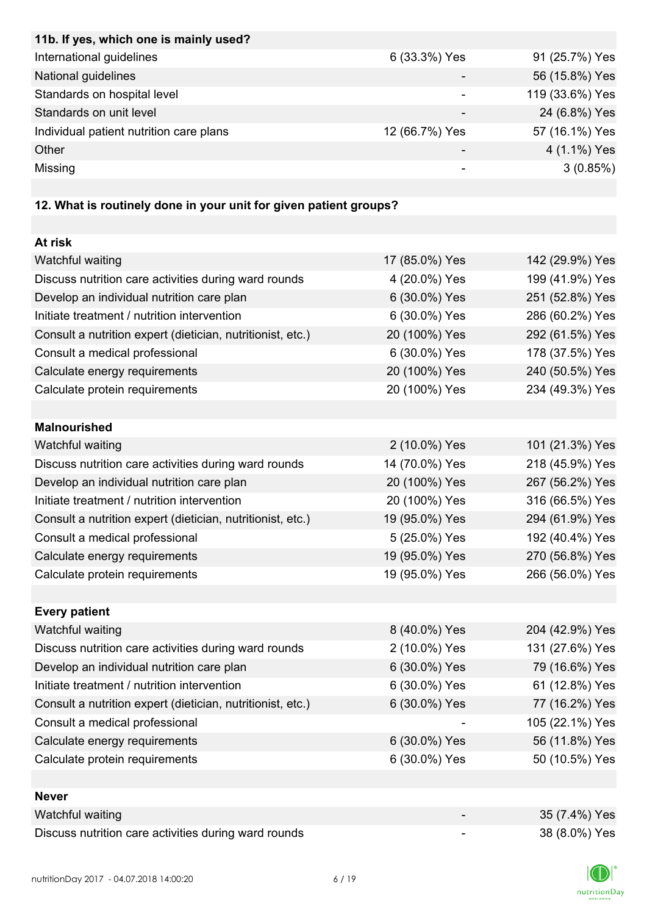| 11b. If yes, which one is mainly used?  |                |                 |
|-----------------------------------------|----------------|-----------------|
| International guidelines                | 6 (33.3%) Yes  | 91 (25.7%) Yes  |
| National guidelines                     |                | 56 (15.8%) Yes  |
| Standards on hospital level             |                | 119 (33.6%) Yes |
| Standards on unit level                 |                | 24 (6.8%) Yes   |
| Individual patient nutrition care plans | 12 (66.7%) Yes | 57 (16.1%) Yes  |
| Other                                   |                | 4 (1.1%) Yes    |
| Missing                                 | -              | 3(0.85%)        |

## **12. What is routinely done in your unit for given patient groups?**

| At risk                                                    |                |                 |
|------------------------------------------------------------|----------------|-----------------|
| Watchful waiting                                           | 17 (85.0%) Yes | 142 (29.9%) Yes |
| Discuss nutrition care activities during ward rounds       | 4 (20.0%) Yes  | 199 (41.9%) Yes |
| Develop an individual nutrition care plan                  | 6 (30.0%) Yes  | 251 (52.8%) Yes |
| Initiate treatment / nutrition intervention                | 6 (30.0%) Yes  | 286 (60.2%) Yes |
| Consult a nutrition expert (dietician, nutritionist, etc.) | 20 (100%) Yes  | 292 (61.5%) Yes |
| Consult a medical professional                             | 6 (30.0%) Yes  | 178 (37.5%) Yes |
| Calculate energy requirements                              | 20 (100%) Yes  | 240 (50.5%) Yes |
| Calculate protein requirements                             | 20 (100%) Yes  | 234 (49.3%) Yes |
|                                                            |                |                 |
| <b>Malnourished</b>                                        |                |                 |
| Watchful waiting                                           | 2 (10.0%) Yes  | 101 (21.3%) Yes |
| Discuss nutrition care activities during ward rounds       | 14 (70.0%) Yes | 218 (45.9%) Yes |
| Develop an individual nutrition care plan                  | 20 (100%) Yes  | 267 (56.2%) Yes |
| Initiate treatment / nutrition intervention                | 20 (100%) Yes  | 316 (66.5%) Yes |
| Consult a nutrition expert (dietician, nutritionist, etc.) | 19 (95.0%) Yes | 294 (61.9%) Yes |
| Consult a medical professional                             | 5 (25.0%) Yes  | 192 (40.4%) Yes |
| Calculate energy requirements                              | 19 (95.0%) Yes | 270 (56.8%) Yes |
| Calculate protein requirements                             | 19 (95.0%) Yes | 266 (56.0%) Yes |
|                                                            |                |                 |
| <b>Every patient</b>                                       |                |                 |
| Watchful waiting                                           | 8 (40.0%) Yes  | 204 (42.9%) Yes |
| Discuss nutrition care activities during ward rounds       | 2 (10.0%) Yes  | 131 (27.6%) Yes |
| Develop an individual nutrition care plan                  | 6 (30.0%) Yes  | 79 (16.6%) Yes  |
| Initiate treatment / nutrition intervention                | 6 (30.0%) Yes  | 61 (12.8%) Yes  |
| Consult a nutrition expert (dietician, nutritionist, etc.) | 6 (30.0%) Yes  | 77 (16.2%) Yes  |
| Consult a medical professional                             |                | 105 (22.1%) Yes |
| Calculate energy requirements                              | 6 (30.0%) Yes  | 56 (11.8%) Yes  |
| Calculate protein requirements                             | 6 (30.0%) Yes  | 50 (10.5%) Yes  |
|                                                            |                |                 |
| <b>Never</b>                                               |                |                 |
| Watchful waiting                                           |                | 35 (7.4%) Yes   |
| Discuss nutrition care activities during ward rounds       | ۰              | 38 (8.0%) Yes   |

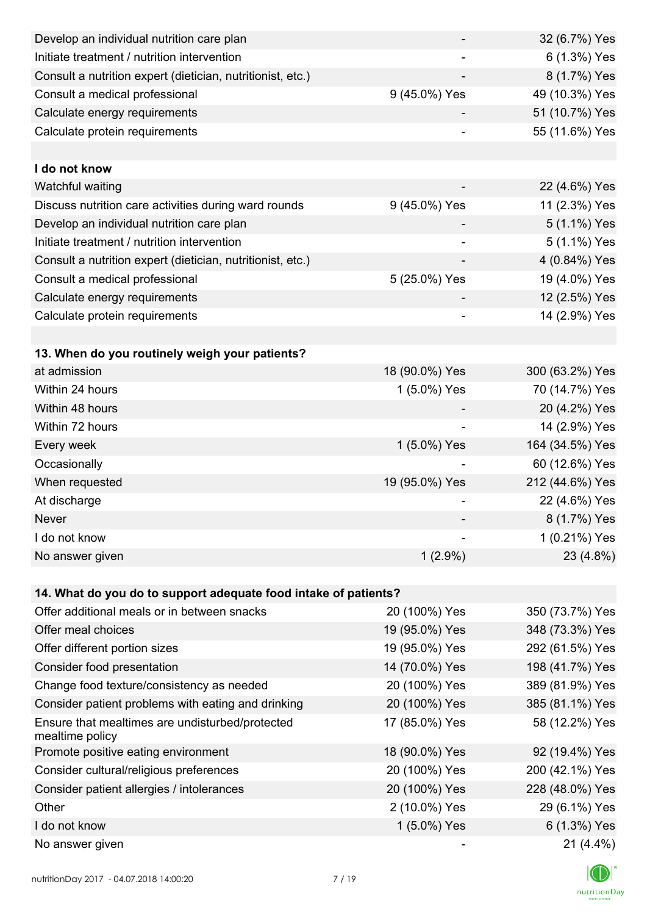| Develop an individual nutrition care plan                          |                          | 32 (6.7%) Yes   |
|--------------------------------------------------------------------|--------------------------|-----------------|
| Initiate treatment / nutrition intervention                        |                          | 6 (1.3%) Yes    |
| Consult a nutrition expert (dietician, nutritionist, etc.)         |                          | 8 (1.7%) Yes    |
| Consult a medical professional                                     | 9 (45.0%) Yes            | 49 (10.3%) Yes  |
| Calculate energy requirements                                      |                          | 51 (10.7%) Yes  |
| Calculate protein requirements                                     |                          | 55 (11.6%) Yes  |
|                                                                    |                          |                 |
| I do not know                                                      |                          |                 |
| Watchful waiting                                                   |                          | 22 (4.6%) Yes   |
| Discuss nutrition care activities during ward rounds               | 9 (45.0%) Yes            | 11 (2.3%) Yes   |
| Develop an individual nutrition care plan                          |                          | 5 (1.1%) Yes    |
| Initiate treatment / nutrition intervention                        | $\overline{\phantom{a}}$ | 5 (1.1%) Yes    |
| Consult a nutrition expert (dietician, nutritionist, etc.)         |                          | 4 (0.84%) Yes   |
| Consult a medical professional                                     | 5 (25.0%) Yes            | 19 (4.0%) Yes   |
| Calculate energy requirements                                      |                          | 12 (2.5%) Yes   |
| Calculate protein requirements                                     |                          | 14 (2.9%) Yes   |
|                                                                    |                          |                 |
| 13. When do you routinely weigh your patients?                     |                          |                 |
| at admission                                                       | 18 (90.0%) Yes           | 300 (63.2%) Yes |
| Within 24 hours                                                    | 1 (5.0%) Yes             | 70 (14.7%) Yes  |
| Within 48 hours                                                    |                          | 20 (4.2%) Yes   |
| Within 72 hours                                                    |                          | 14 (2.9%) Yes   |
| Every week                                                         | 1 (5.0%) Yes             | 164 (34.5%) Yes |
| Occasionally                                                       |                          | 60 (12.6%) Yes  |
| When requested                                                     | 19 (95.0%) Yes           | 212 (44.6%) Yes |
| At discharge                                                       |                          | 22 (4.6%) Yes   |
| Never                                                              |                          | 8 (1.7%) Yes    |
| I do not know                                                      |                          | 1 (0.21%) Yes   |
| No answer given                                                    | $1(2.9\%)$               | 23 (4.8%)       |
|                                                                    |                          |                 |
| 14. What do you do to support adequate food intake of patients?    |                          |                 |
| Offer additional meals or in between snacks                        | 20 (100%) Yes            | 350 (73.7%) Yes |
| Offer meal choices                                                 | 19 (95.0%) Yes           | 348 (73.3%) Yes |
| Offer different portion sizes                                      | 19 (95.0%) Yes           | 292 (61.5%) Yes |
| Consider food presentation                                         | 14 (70.0%) Yes           | 198 (41.7%) Yes |
| Change food texture/consistency as needed                          | 20 (100%) Yes            | 389 (81.9%) Yes |
| Consider patient problems with eating and drinking                 | 20 (100%) Yes            | 385 (81.1%) Yes |
| Ensure that mealtimes are undisturbed/protected<br>mealtime policy | 17 (85.0%) Yes           | 58 (12.2%) Yes  |
| Promote positive eating environment                                | 18 (90.0%) Yes           | 92 (19.4%) Yes  |
| Consider cultural/religious preferences                            | 20 (100%) Yes            | 200 (42.1%) Yes |
| Consider patient allergies / intolerances                          | 20 (100%) Yes            | 228 (48.0%) Yes |
| Other                                                              | 2 (10.0%) Yes            | 29 (6.1%) Yes   |
| I do not know                                                      | 1 (5.0%) Yes             | 6 (1.3%) Yes    |
| No answer given                                                    |                          | $21(4.4\%)$     |

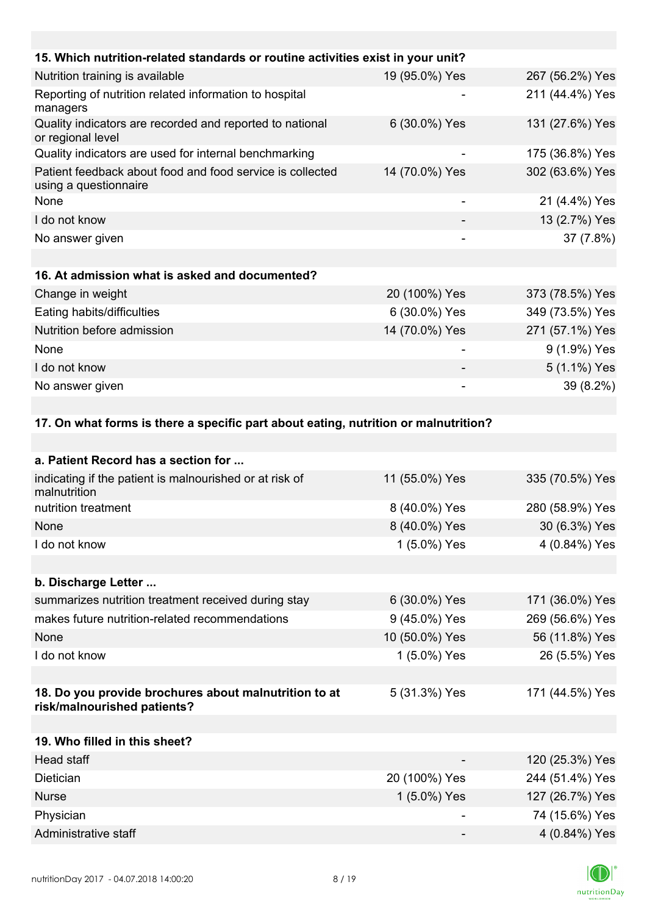| 15. Which nutrition-related standards or routine activities exist in your unit?      |                          |                 |
|--------------------------------------------------------------------------------------|--------------------------|-----------------|
| Nutrition training is available                                                      | 19 (95.0%) Yes           | 267 (56.2%) Yes |
| Reporting of nutrition related information to hospital<br>managers                   |                          | 211 (44.4%) Yes |
| Quality indicators are recorded and reported to national<br>or regional level        | 6 (30.0%) Yes            | 131 (27.6%) Yes |
| Quality indicators are used for internal benchmarking                                |                          | 175 (36.8%) Yes |
| Patient feedback about food and food service is collected<br>using a questionnaire   | 14 (70.0%) Yes           | 302 (63.6%) Yes |
| None                                                                                 | $\overline{\phantom{a}}$ | 21 (4.4%) Yes   |
| I do not know                                                                        |                          | 13 (2.7%) Yes   |
| No answer given                                                                      |                          | 37 (7.8%)       |
|                                                                                      |                          |                 |
| 16. At admission what is asked and documented?                                       |                          |                 |
| Change in weight                                                                     | 20 (100%) Yes            | 373 (78.5%) Yes |
| Eating habits/difficulties                                                           | 6 (30.0%) Yes            | 349 (73.5%) Yes |
| Nutrition before admission                                                           | 14 (70.0%) Yes           | 271 (57.1%) Yes |
| None                                                                                 |                          | 9 (1.9%) Yes    |
| I do not know                                                                        |                          | 5 (1.1%) Yes    |
| No answer given                                                                      |                          | 39 (8.2%)       |
|                                                                                      |                          |                 |
| 17. On what forms is there a specific part about eating, nutrition or malnutrition?  |                          |                 |
|                                                                                      |                          |                 |
| a. Patient Record has a section for                                                  |                          |                 |
| indicating if the patient is malnourished or at risk of<br>malnutrition              | 11 (55.0%) Yes           | 335 (70.5%) Yes |
| nutrition treatment                                                                  | 8 (40.0%) Yes            | 280 (58.9%) Yes |
| None                                                                                 | 8 (40.0%) Yes            | 30 (6.3%) Yes   |
| I do not know                                                                        | 1 (5.0%) Yes             | 4 (0.84%) Yes   |
|                                                                                      |                          |                 |
| b. Discharge Letter                                                                  |                          |                 |
| summarizes nutrition treatment received during stay                                  | 6 (30.0%) Yes            | 171 (36.0%) Yes |
| makes future nutrition-related recommendations                                       | 9 (45.0%) Yes            | 269 (56.6%) Yes |
| None                                                                                 | 10 (50.0%) Yes           | 56 (11.8%) Yes  |
| I do not know                                                                        | 1 (5.0%) Yes             | 26 (5.5%) Yes   |
|                                                                                      |                          |                 |
| 18. Do you provide brochures about malnutrition to at<br>risk/malnourished patients? | 5 (31.3%) Yes            | 171 (44.5%) Yes |
| 19. Who filled in this sheet?                                                        |                          |                 |

| Head staff           | $\overline{\phantom{0}}$ | 120 (25.3%) Yes |
|----------------------|--------------------------|-----------------|
| <b>Dietician</b>     | 20 (100%) Yes            | 244 (51.4%) Yes |
| <b>Nurse</b>         | 1 $(5.0\%)$ Yes          | 127 (26.7%) Yes |
| Physician            |                          | 74 (15.6%) Yes  |
| Administrative staff |                          | 4 (0.84%) Yes   |

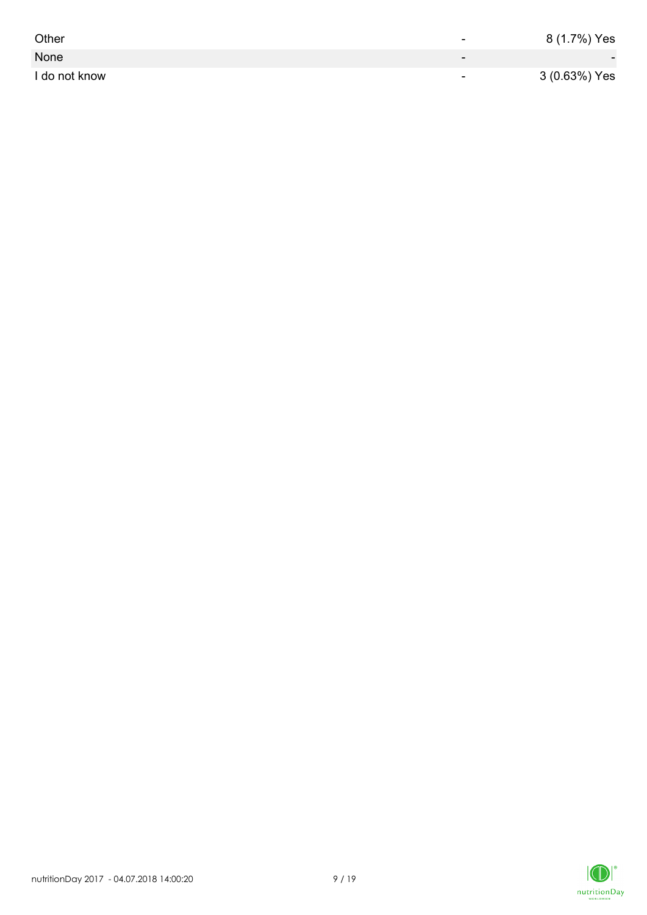| Other         | -                        | 8 (1.7%) Yes             |
|---------------|--------------------------|--------------------------|
| None          | $\overline{\phantom{0}}$ | $\overline{\phantom{0}}$ |
| I do not know | $\overline{\phantom{0}}$ | 3 (0.63%) Yes            |

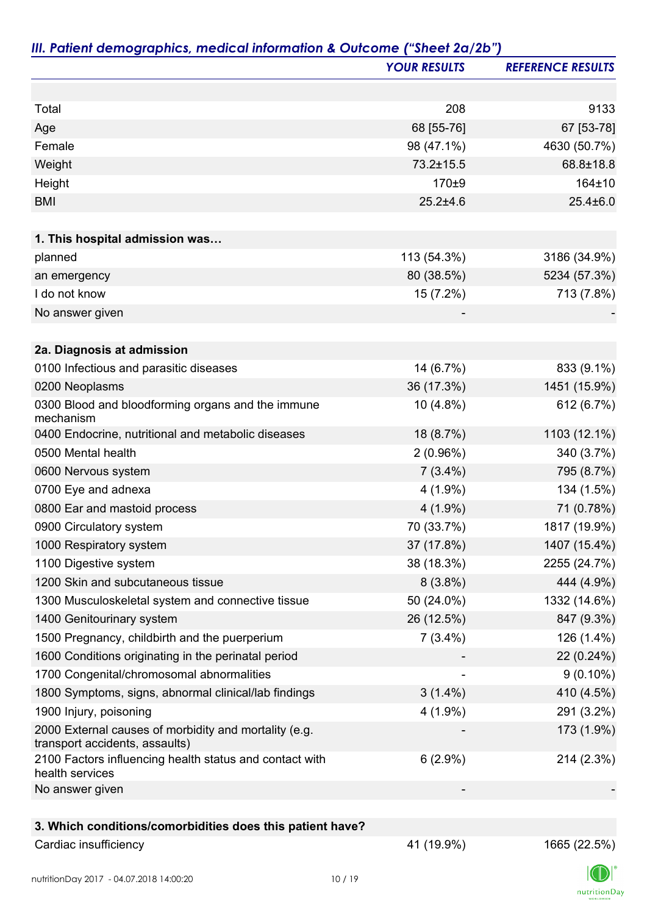|                                                                                         | <b>YOUR RESULTS</b> | <b>REFERENCE RESULTS</b> |
|-----------------------------------------------------------------------------------------|---------------------|--------------------------|
|                                                                                         |                     |                          |
| Total                                                                                   | 208                 | 9133                     |
| Age                                                                                     | 68 [55-76]          | 67 [53-78]               |
| Female                                                                                  | 98 (47.1%)          | 4630 (50.7%)             |
| Weight                                                                                  | 73.2±15.5           | 68.8±18.8                |
| Height                                                                                  | 170±9               | 164±10                   |
| <b>BMI</b>                                                                              | $25.2 \pm 4.6$      | $25.4 \pm 6.0$           |
| 1. This hospital admission was                                                          |                     |                          |
| planned                                                                                 | 113 (54.3%)         | 3186 (34.9%)             |
| an emergency                                                                            | 80 (38.5%)          | 5234 (57.3%)             |
| I do not know                                                                           | 15 (7.2%)           | 713 (7.8%)               |
| No answer given                                                                         |                     |                          |
|                                                                                         |                     |                          |
| 2a. Diagnosis at admission                                                              |                     |                          |
| 0100 Infectious and parasitic diseases                                                  | 14 (6.7%)           | 833 (9.1%)               |
| 0200 Neoplasms                                                                          | 36 (17.3%)          | 1451 (15.9%)             |
| 0300 Blood and bloodforming organs and the immune<br>mechanism                          | 10 (4.8%)           | 612 (6.7%)               |
| 0400 Endocrine, nutritional and metabolic diseases                                      | 18 (8.7%)           | 1103 (12.1%)             |
| 0500 Mental health                                                                      | $2(0.96\%)$         | 340 (3.7%)               |
| 0600 Nervous system                                                                     | $7(3.4\%)$          | 795 (8.7%)               |
| 0700 Eye and adnexa                                                                     | $4(1.9\%)$          | 134 (1.5%)               |
| 0800 Ear and mastoid process                                                            | $4(1.9\%)$          | 71 (0.78%)               |
| 0900 Circulatory system                                                                 | 70 (33.7%)          | 1817 (19.9%)             |
| 1000 Respiratory system                                                                 | 37 (17.8%)          | 1407 (15.4%)             |
| 1100 Digestive system                                                                   | 38 (18.3%)          | 2255 (24.7%)             |
| 1200 Skin and subcutaneous tissue                                                       | $8(3.8\%)$          | 444 (4.9%)               |
| 1300 Musculoskeletal system and connective tissue                                       | 50 (24.0%)          | 1332 (14.6%)             |
| 1400 Genitourinary system                                                               | 26 (12.5%)          | 847 (9.3%)               |
| 1500 Pregnancy, childbirth and the puerperium                                           | $7(3.4\%)$          | 126 (1.4%)               |
| 1600 Conditions originating in the perinatal period                                     |                     | 22 (0.24%)               |
| 1700 Congenital/chromosomal abnormalities                                               |                     | $9(0.10\%)$              |
| 1800 Symptoms, signs, abnormal clinical/lab findings                                    | $3(1.4\%)$          | 410 (4.5%)               |
| 1900 Injury, poisoning                                                                  | $4(1.9\%)$          | 291 (3.2%)               |
| 2000 External causes of morbidity and mortality (e.g.<br>transport accidents, assaults) |                     | 173 (1.9%)               |
| 2100 Factors influencing health status and contact with<br>health services              | $6(2.9\%)$          | 214 (2.3%)               |
| No answer given                                                                         |                     |                          |
|                                                                                         |                     |                          |
| 3. Which conditions/comorbidities does this patient have?                               |                     |                          |
| Cardiac insufficiency                                                                   | 41 (19.9%)          | 1665 (22.5%)             |

K  $\label{eq:2} \mathsf{nutritionDay}$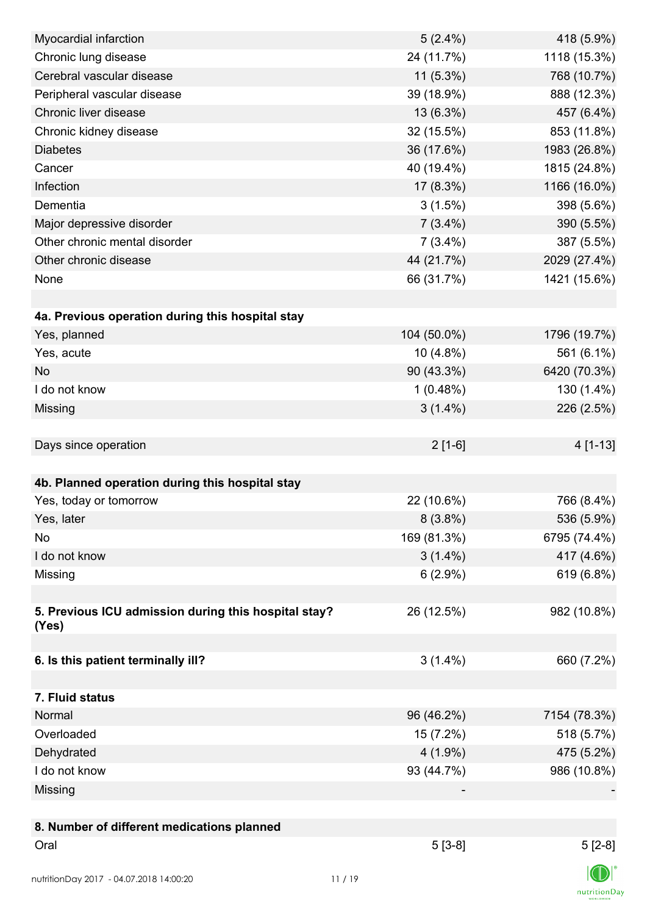| Myocardial infarction                                | $5(2.4\%)$  | 418 (5.9%)   |
|------------------------------------------------------|-------------|--------------|
| Chronic lung disease                                 | 24 (11.7%)  | 1118 (15.3%) |
| Cerebral vascular disease                            | $11(5.3\%)$ | 768 (10.7%)  |
| Peripheral vascular disease                          | 39 (18.9%)  | 888 (12.3%)  |
| Chronic liver disease                                | 13 (6.3%)   | 457 (6.4%)   |
| Chronic kidney disease                               | 32 (15.5%)  | 853 (11.8%)  |
| <b>Diabetes</b>                                      | 36 (17.6%)  | 1983 (26.8%) |
| Cancer                                               | 40 (19.4%)  | 1815 (24.8%) |
| Infection                                            | $17(8.3\%)$ | 1166 (16.0%) |
| Dementia                                             | 3(1.5%)     | 398 (5.6%)   |
| Major depressive disorder                            | $7(3.4\%)$  | 390 (5.5%)   |
| Other chronic mental disorder                        | $7(3.4\%)$  | 387 (5.5%)   |
| Other chronic disease                                | 44 (21.7%)  | 2029 (27.4%) |
| None                                                 | 66 (31.7%)  | 1421 (15.6%) |
|                                                      |             |              |
| 4a. Previous operation during this hospital stay     |             |              |
| Yes, planned                                         | 104 (50.0%) | 1796 (19.7%) |
| Yes, acute                                           | $10(4.8\%)$ | 561 (6.1%)   |
| <b>No</b>                                            | 90 (43.3%)  | 6420 (70.3%) |
| I do not know                                        | 1(0.48%)    | 130 (1.4%)   |
| Missing                                              | $3(1.4\%)$  | 226 (2.5%)   |
|                                                      |             |              |
| Days since operation                                 | $2[1-6]$    | 4 [1-13]     |
|                                                      |             |              |
| 4b. Planned operation during this hospital stay      |             |              |
| Yes, today or tomorrow                               | 22 (10.6%)  | 766 (8.4%)   |
| Yes, later                                           | $8(3.8\%)$  | 536 (5.9%)   |
| No                                                   | 169 (81.3%) | 6795 (74.4%) |
| I do not know                                        | $3(1.4\%)$  | 417 (4.6%)   |
| Missing                                              | $6(2.9\%)$  | 619 (6.8%)   |
|                                                      |             |              |
| 5. Previous ICU admission during this hospital stay? | 26 (12.5%)  | 982 (10.8%)  |
| (Yes)                                                |             |              |
|                                                      |             |              |
| 6. Is this patient terminally ill?                   | $3(1.4\%)$  | 660 (7.2%)   |
|                                                      |             |              |
| 7. Fluid status                                      |             |              |
| Normal                                               | 96 (46.2%)  | 7154 (78.3%) |
| Overloaded                                           | 15 (7.2%)   | 518 (5.7%)   |
| Dehydrated                                           | $4(1.9\%)$  | 475 (5.2%)   |
| I do not know                                        | 93 (44.7%)  | 986 (10.8%)  |
| Missing                                              |             |              |
|                                                      |             |              |
| 8. Number of different medications planned           |             |              |
| Oral                                                 | $5[3-8]$    | $5[2-8]$     |
|                                                      |             |              |
| nutritionDay 2017 - 04.07.2018 14:00:20              | 11/19       |              |

 $\textsf{nutritionDay}$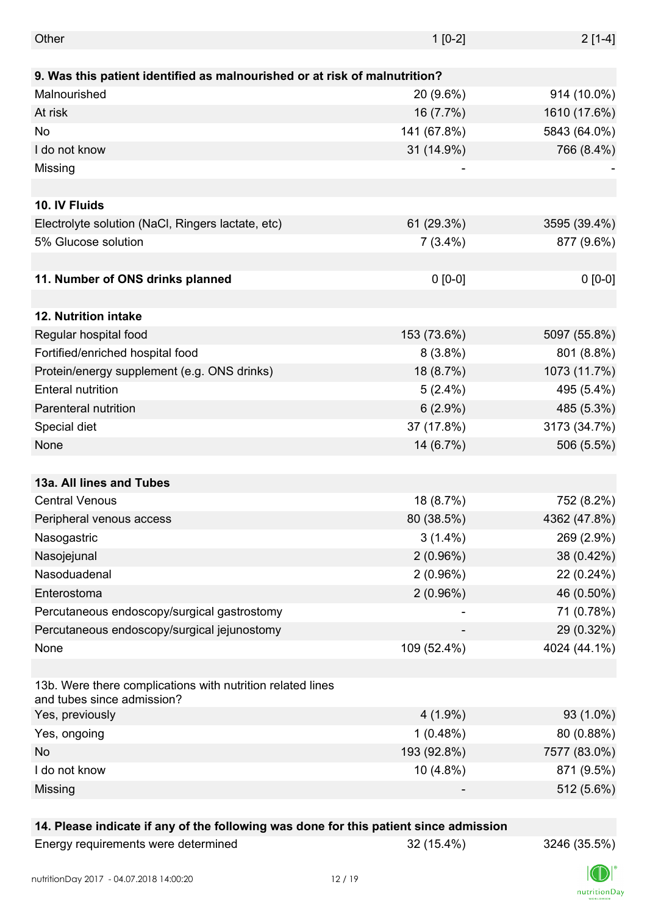| Other                                                                                    | $1[0-2]$    | $2[1-4]$     |
|------------------------------------------------------------------------------------------|-------------|--------------|
|                                                                                          |             |              |
| 9. Was this patient identified as malnourished or at risk of malnutrition?               |             |              |
| Malnourished                                                                             | 20 (9.6%)   | 914 (10.0%)  |
| At risk                                                                                  | 16 (7.7%)   | 1610 (17.6%) |
| No                                                                                       | 141 (67.8%) | 5843 (64.0%) |
| I do not know                                                                            | 31 (14.9%)  | 766 (8.4%)   |
| Missing                                                                                  | -           |              |
|                                                                                          |             |              |
| 10. IV Fluids                                                                            |             |              |
| Electrolyte solution (NaCl, Ringers lactate, etc)                                        | 61 (29.3%)  | 3595 (39.4%) |
| 5% Glucose solution                                                                      | $7(3.4\%)$  | 877 (9.6%)   |
|                                                                                          |             |              |
| 11. Number of ONS drinks planned                                                         | $0 [0-0]$   | $0 [0-0]$    |
|                                                                                          |             |              |
| 12. Nutrition intake                                                                     |             |              |
| Regular hospital food                                                                    | 153 (73.6%) | 5097 (55.8%) |
| Fortified/enriched hospital food                                                         | $8(3.8\%)$  | 801 (8.8%)   |
| Protein/energy supplement (e.g. ONS drinks)                                              | 18 (8.7%)   | 1073 (11.7%) |
| <b>Enteral nutrition</b>                                                                 | $5(2.4\%)$  | 495 (5.4%)   |
| Parenteral nutrition                                                                     | $6(2.9\%)$  | 485 (5.3%)   |
| Special diet                                                                             | 37 (17.8%)  | 3173 (34.7%) |
| None                                                                                     | 14 (6.7%)   | 506 (5.5%)   |
|                                                                                          |             |              |
| 13a. All lines and Tubes                                                                 |             |              |
| <b>Central Venous</b>                                                                    | 18 (8.7%)   | 752 (8.2%)   |
| Peripheral venous access                                                                 | 80 (38.5%)  | 4362 (47.8%) |
| Nasogastric                                                                              | $3(1.4\%)$  | 269 (2.9%)   |
| Nasojejunal                                                                              | $2(0.96\%)$ | 38 (0.42%)   |
| Nasoduadenal                                                                             | $2(0.96\%)$ | 22 (0.24%)   |
| Enterostoma                                                                              | $2(0.96\%)$ | 46 (0.50%)   |
| Percutaneous endoscopy/surgical gastrostomy                                              |             | 71 (0.78%)   |
| Percutaneous endoscopy/surgical jejunostomy                                              |             | 29 (0.32%)   |
| None                                                                                     | 109 (52.4%) | 4024 (44.1%) |
|                                                                                          |             |              |
| 13b. Were there complications with nutrition related lines<br>and tubes since admission? |             |              |
| Yes, previously                                                                          | $4(1.9\%)$  | 93 (1.0%)    |
| Yes, ongoing                                                                             | 1(0.48%)    | 80 (0.88%)   |
| <b>No</b>                                                                                | 193 (92.8%) | 7577 (83.0%) |
| I do not know                                                                            | 10 (4.8%)   | 871 (9.5%)   |
| Missing                                                                                  |             | 512 (5.6%)   |
|                                                                                          |             |              |

### **14. Please indicate if any of the following was done for this patient since admission**

| Energy requirements were determined |
|-------------------------------------|
|-------------------------------------|

Energy requirements were determined 32 (15.4%) 3246 (35.5%)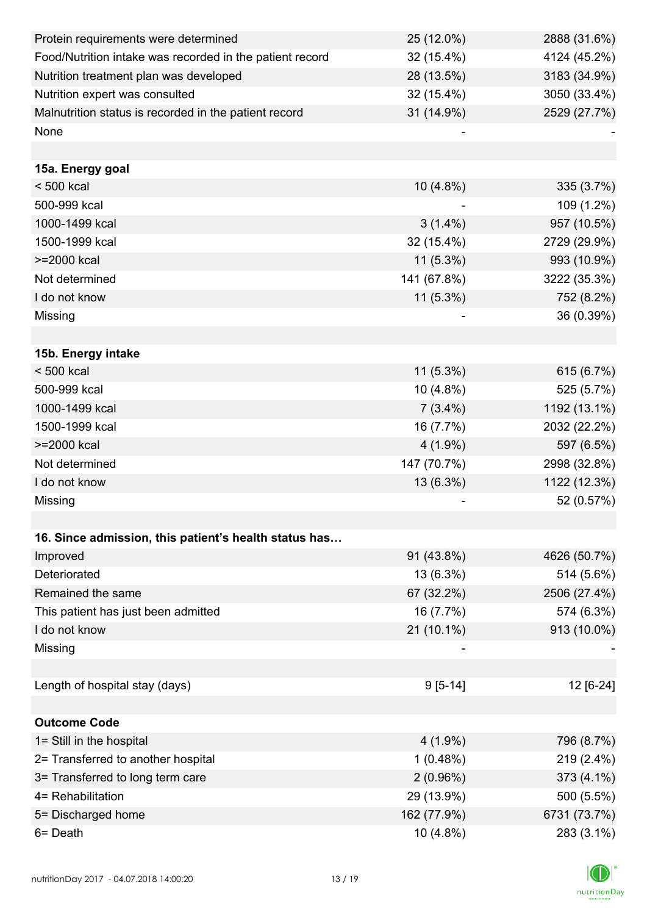| Protein requirements were determined                     | 25 (12.0%)  | 2888 (31.6%) |
|----------------------------------------------------------|-------------|--------------|
| Food/Nutrition intake was recorded in the patient record | 32 (15.4%)  | 4124 (45.2%) |
| Nutrition treatment plan was developed                   | 28 (13.5%)  | 3183 (34.9%) |
| Nutrition expert was consulted                           | 32 (15.4%)  | 3050 (33.4%) |
| Malnutrition status is recorded in the patient record    | 31 (14.9%)  | 2529 (27.7%) |
| None                                                     |             |              |
|                                                          |             |              |
| 15a. Energy goal                                         |             |              |
| $< 500$ kcal                                             | $10(4.8\%)$ | $335(3.7\%)$ |
| 500-999 kcal                                             |             | 109 (1.2%)   |
| 1000-1499 kcal                                           | $3(1.4\%)$  | 957 (10.5%)  |
| 1500-1999 kcal                                           | 32 (15.4%)  | 2729 (29.9%) |
| >=2000 kcal                                              | $11(5.3\%)$ | 993 (10.9%)  |
| Not determined                                           | 141 (67.8%) | 3222 (35.3%) |
| I do not know                                            | $11(5.3\%)$ | 752 (8.2%)   |
| Missing                                                  |             | 36 (0.39%)   |
|                                                          |             |              |
| 15b. Energy intake                                       |             |              |
| $< 500$ kcal                                             | $11(5.3\%)$ | 615 (6.7%)   |
| 500-999 kcal                                             | 10 (4.8%)   | 525 (5.7%)   |
| 1000-1499 kcal                                           | $7(3.4\%)$  | 1192 (13.1%) |
| 1500-1999 kcal                                           | 16 (7.7%)   | 2032 (22.2%) |
| >=2000 kcal                                              | $4(1.9\%)$  | 597 (6.5%)   |
| Not determined                                           | 147 (70.7%) | 2998 (32.8%) |
| I do not know                                            | 13 (6.3%)   | 1122 (12.3%) |
| Missing                                                  |             | 52 (0.57%)   |
|                                                          |             |              |
| 16. Since admission, this patient's health status has    |             |              |
| Improved                                                 | 91 (43.8%)  | 4626 (50.7%) |
| Deteriorated                                             | 13 (6.3%)   | 514 (5.6%)   |
| Remained the same                                        | 67 (32.2%)  | 2506 (27.4%) |
| This patient has just been admitted                      | 16 (7.7%)   | 574 (6.3%)   |
| I do not know                                            | 21 (10.1%)  | 913 (10.0%)  |
| Missing                                                  |             |              |
|                                                          |             |              |
| Length of hospital stay (days)                           | $9[5-14]$   | 12 [6-24]    |
|                                                          |             |              |
| <b>Outcome Code</b>                                      |             |              |
| 1= Still in the hospital                                 | $4(1.9\%)$  | 796 (8.7%)   |
| 2= Transferred to another hospital                       | 1(0.48%)    | 219 (2.4%)   |
| 3= Transferred to long term care                         | 2(0.96%)    | 373 (4.1%)   |
| 4= Rehabilitation                                        | 29 (13.9%)  | 500 (5.5%)   |
| 5= Discharged home                                       | 162 (77.9%) | 6731 (73.7%) |
| 6= Death                                                 | 10 (4.8%)   | 283 (3.1%)   |

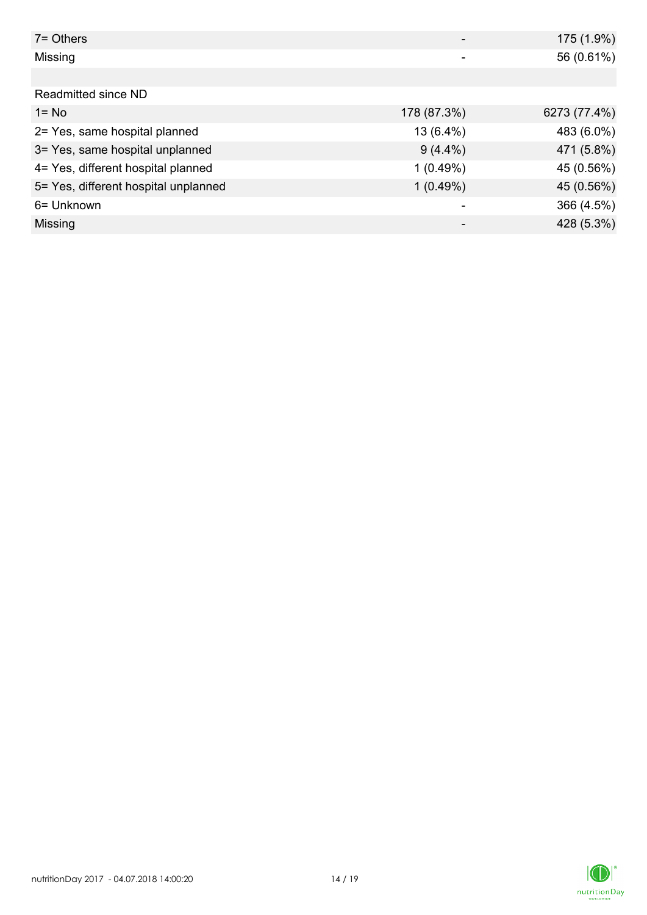| $7 =$ Others                         |             | 175 (1.9%)   |
|--------------------------------------|-------------|--------------|
| Missing                              |             | 56 (0.61%)   |
|                                      |             |              |
| Readmitted since ND                  |             |              |
| $1 = No$                             | 178 (87.3%) | 6273 (77.4%) |
| 2= Yes, same hospital planned        | 13 (6.4%)   | 483 (6.0%)   |
| 3= Yes, same hospital unplanned      | $9(4.4\%)$  | 471 (5.8%)   |
| 4= Yes, different hospital planned   | 1(0.49%)    | 45 (0.56%)   |
| 5= Yes, different hospital unplanned | 1(0.49%)    | 45 (0.56%)   |
| 6= Unknown                           |             | 366 (4.5%)   |
| Missing                              |             | 428 (5.3%)   |

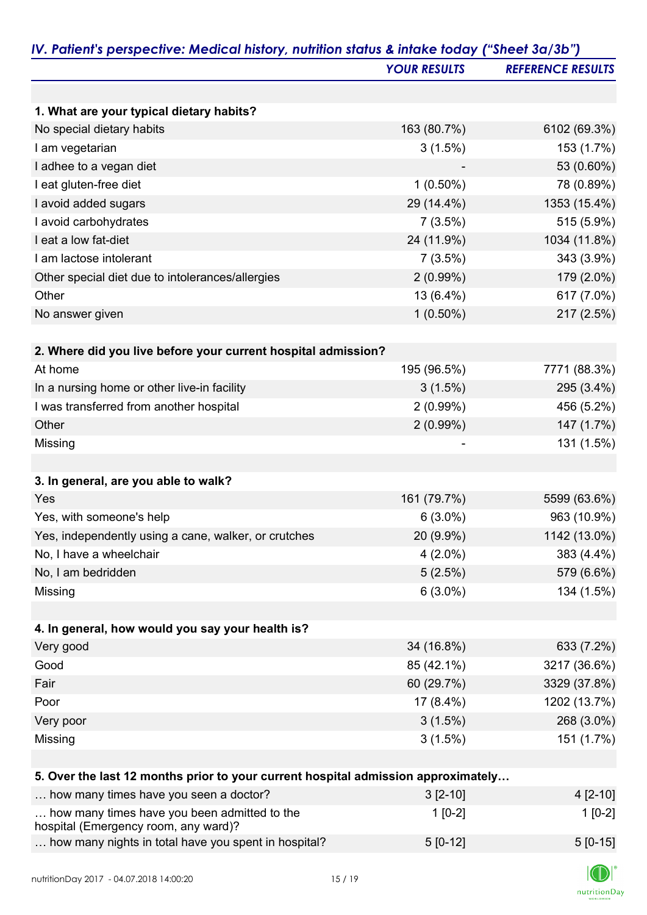|                                                                                   | <b>YOUR RESULTS</b> | <b>REFERENCE RESULTS</b> |
|-----------------------------------------------------------------------------------|---------------------|--------------------------|
|                                                                                   |                     |                          |
| 1. What are your typical dietary habits?                                          |                     |                          |
| No special dietary habits                                                         | 163 (80.7%)         | 6102 (69.3%)             |
| I am vegetarian                                                                   | 3(1.5%)             | 153 (1.7%)               |
| I adhee to a vegan diet                                                           |                     | 53 (0.60%)               |
| I eat gluten-free diet                                                            | $1(0.50\%)$         | 78 (0.89%)               |
| I avoid added sugars                                                              | 29 (14.4%)          | 1353 (15.4%)             |
| I avoid carbohydrates                                                             | 7(3.5%)             | 515 (5.9%)               |
| I eat a low fat-diet                                                              | 24 (11.9%)          | 1034 (11.8%)             |
| I am lactose intolerant                                                           | 7(3.5%)             | 343 (3.9%)               |
| Other special diet due to intolerances/allergies                                  | 2(0.99%)            | 179 (2.0%)               |
| Other                                                                             | 13 (6.4%)           | 617 (7.0%)               |
| No answer given                                                                   | $1(0.50\%)$         | 217 (2.5%)               |
|                                                                                   |                     |                          |
| 2. Where did you live before your current hospital admission?                     |                     |                          |
| At home                                                                           | 195 (96.5%)         | 7771 (88.3%)             |
| In a nursing home or other live-in facility                                       | 3(1.5%)             | 295 (3.4%)               |
| I was transferred from another hospital                                           | 2(0.99%)            | 456 (5.2%)               |
| Other                                                                             | 2(0.99%)            | 147 (1.7%)               |
| Missing                                                                           |                     | 131 (1.5%)               |
|                                                                                   |                     |                          |
| 3. In general, are you able to walk?                                              |                     |                          |
| Yes                                                                               | 161 (79.7%)         | 5599 (63.6%)             |
| Yes, with someone's help                                                          | $6(3.0\%)$          | 963 (10.9%)              |
| Yes, independently using a cane, walker, or crutches                              | 20 (9.9%)           | 1142 (13.0%)             |
| No, I have a wheelchair                                                           | $4(2.0\%)$          | 383 (4.4%)               |
| No, I am bedridden                                                                | 5(2.5%)             | 579 (6.6%)               |
| Missing                                                                           | $6(3.0\%)$          | 134 (1.5%)               |
|                                                                                   |                     |                          |
| 4. In general, how would you say your health is?                                  |                     |                          |
| Very good                                                                         | 34 (16.8%)          | 633 (7.2%)               |
| Good                                                                              | 85 (42.1%)          | 3217 (36.6%)             |
| Fair                                                                              | 60 (29.7%)          | 3329 (37.8%)             |
| Poor                                                                              | $17(8.4\%)$         | 1202 (13.7%)             |
| Very poor                                                                         | 3(1.5%)             | 268 (3.0%)               |
| Missing                                                                           | $3(1.5\%)$          | 151 (1.7%)               |
|                                                                                   |                     |                          |
| 5. Over the last 12 months prior to your current hospital admission approximately |                     |                          |
| how many times have you seen a doctor?                                            | $3[2-10]$           | 4 [2-10]                 |
| how many times have you been admitted to the                                      | $1[0-2]$            | $1[0-2]$                 |
| hospital (Emergency room, any ward)?                                              |                     |                          |
| how many nights in total have you spent in hospital?                              | $5[0-12]$           | $5[0-15]$                |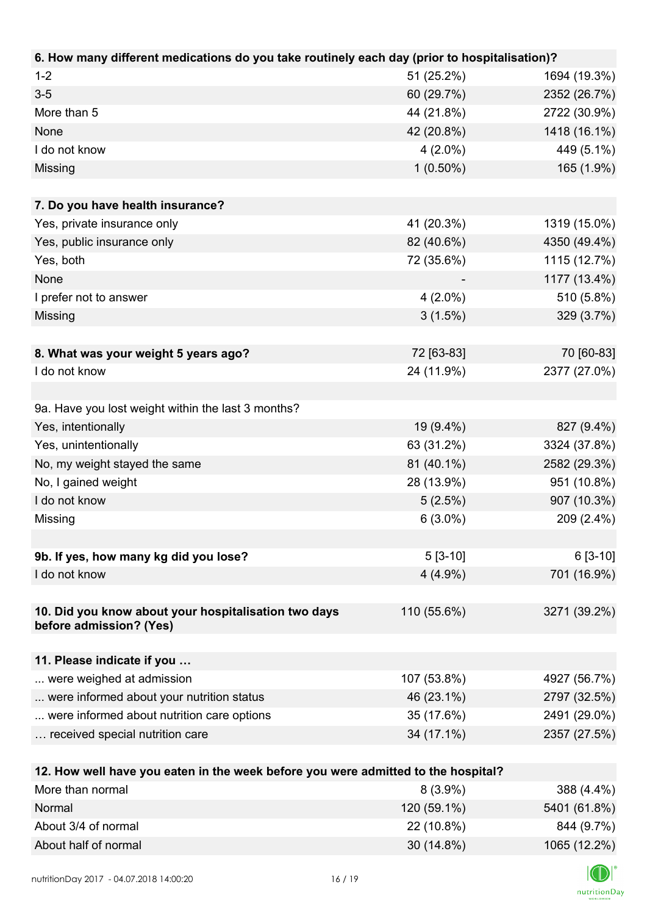| 6. How many different medications do you take routinely each day (prior to hospitalisation)? |             |              |
|----------------------------------------------------------------------------------------------|-------------|--------------|
| $1 - 2$                                                                                      | 51 (25.2%)  | 1694 (19.3%) |
| $3 - 5$                                                                                      | 60 (29.7%)  | 2352 (26.7%) |
| More than 5                                                                                  | 44 (21.8%)  | 2722 (30.9%) |
| None                                                                                         | 42 (20.8%)  | 1418 (16.1%) |
| I do not know                                                                                | $4(2.0\%)$  | 449 (5.1%)   |
| Missing                                                                                      | $1(0.50\%)$ | 165 (1.9%)   |
|                                                                                              |             |              |
| 7. Do you have health insurance?                                                             |             |              |
| Yes, private insurance only                                                                  | 41 (20.3%)  | 1319 (15.0%) |
| Yes, public insurance only                                                                   | 82 (40.6%)  | 4350 (49.4%) |
| Yes, both                                                                                    | 72 (35.6%)  | 1115 (12.7%) |
| None                                                                                         |             | 1177 (13.4%) |
| I prefer not to answer                                                                       | $4(2.0\%)$  | 510 (5.8%)   |
| Missing                                                                                      | 3(1.5%)     | 329 (3.7%)   |
|                                                                                              |             |              |
| 8. What was your weight 5 years ago?                                                         | 72 [63-83]  | 70 [60-83]   |
| I do not know                                                                                | 24 (11.9%)  | 2377 (27.0%) |
|                                                                                              |             |              |
| 9a. Have you lost weight within the last 3 months?                                           |             |              |
| Yes, intentionally                                                                           | 19 (9.4%)   | 827 (9.4%)   |
| Yes, unintentionally                                                                         | 63 (31.2%)  | 3324 (37.8%) |
| No, my weight stayed the same                                                                | 81 (40.1%)  | 2582 (29.3%) |
| No, I gained weight                                                                          | 28 (13.9%)  | 951 (10.8%)  |
| I do not know                                                                                | 5(2.5%)     | 907 (10.3%)  |
| Missing                                                                                      | $6(3.0\%)$  | 209 (2.4%)   |
|                                                                                              |             |              |
| 9b. If yes, how many kg did you lose?                                                        | $5[3-10]$   | $6[3-10]$    |
| I do not know                                                                                | $4(4.9\%)$  | 701 (16.9%)  |
|                                                                                              |             |              |
| 10. Did you know about your hospitalisation two days                                         | 110 (55.6%) | 3271 (39.2%) |
| before admission? (Yes)                                                                      |             |              |
|                                                                                              |             |              |
| 11. Please indicate if you                                                                   |             |              |
| were weighed at admission                                                                    | 107 (53.8%) | 4927 (56.7%) |
| were informed about your nutrition status                                                    | 46 (23.1%)  | 2797 (32.5%) |
| were informed about nutrition care options                                                   | 35 (17.6%)  | 2491 (29.0%) |
| received special nutrition care                                                              | 34 (17.1%)  | 2357 (27.5%) |
|                                                                                              |             |              |
| 12. How well have you eaten in the week before you were admitted to the hospital?            |             |              |
| More than normal                                                                             | $8(3.9\%)$  | 388 (4.4%)   |
| Normal                                                                                       | 120 (59.1%) | 5401 (61.8%) |

| <u>inormal</u>       | 120 (59.1%)  | $0401(01.8\%)$ |
|----------------------|--------------|----------------|
| About 3/4 of normal  | 22 (10.8%)   | 844 (9.7%)     |
| About half of normal | $30(14.8\%)$ | 1065 (12.2%)   |
|                      |              | $\sqrt{2}$     |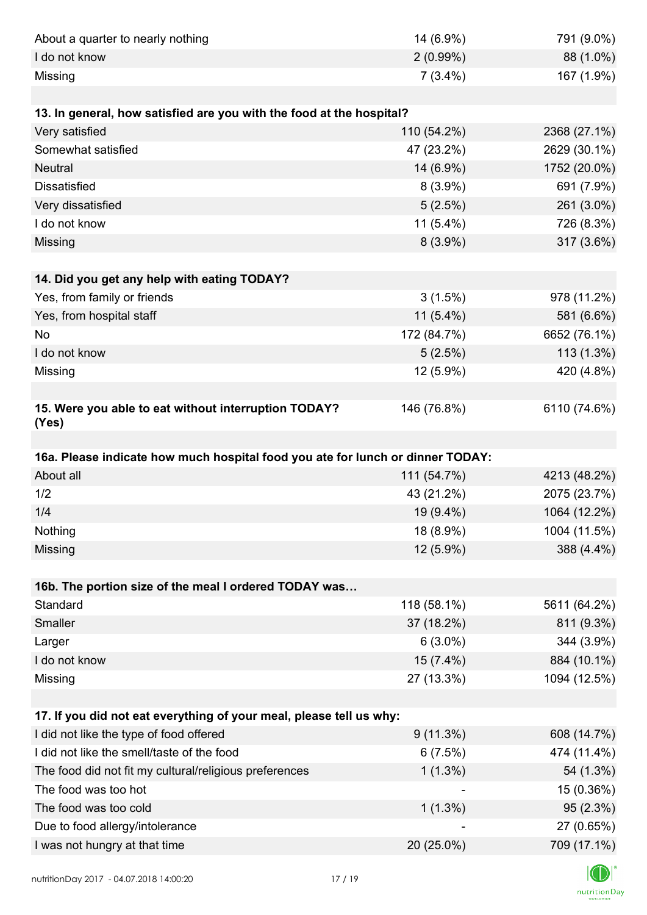| About a quarter to nearly nothing                                              | 14 (6.9%)   | 791 (9.0%)   |
|--------------------------------------------------------------------------------|-------------|--------------|
| I do not know                                                                  | $2(0.99\%)$ | 88 (1.0%)    |
| Missing                                                                        | $7(3.4\%)$  | 167 (1.9%)   |
|                                                                                |             |              |
| 13. In general, how satisfied are you with the food at the hospital?           |             |              |
| Very satisfied                                                                 | 110 (54.2%) | 2368 (27.1%) |
| Somewhat satisfied                                                             | 47 (23.2%)  | 2629 (30.1%) |
| <b>Neutral</b>                                                                 | 14 (6.9%)   | 1752 (20.0%) |
| <b>Dissatisfied</b>                                                            | $8(3.9\%)$  | 691 (7.9%)   |
| Very dissatisfied                                                              | 5(2.5%)     | 261 (3.0%)   |
| I do not know                                                                  | $11(5.4\%)$ | 726 (8.3%)   |
| Missing                                                                        | $8(3.9\%)$  | 317 (3.6%)   |
|                                                                                |             |              |
| 14. Did you get any help with eating TODAY?                                    |             |              |
| Yes, from family or friends                                                    | 3(1.5%)     | 978 (11.2%)  |
| Yes, from hospital staff                                                       | $11(5.4\%)$ | 581 (6.6%)   |
| <b>No</b>                                                                      | 172 (84.7%) | 6652 (76.1%) |
| I do not know                                                                  | 5(2.5%)     | $113(1.3\%)$ |
| Missing                                                                        | 12 (5.9%)   | 420 (4.8%)   |
|                                                                                |             |              |
| 15. Were you able to eat without interruption TODAY?<br>(Yes)                  | 146 (76.8%) | 6110 (74.6%) |
|                                                                                |             |              |
| 16a. Please indicate how much hospital food you ate for lunch or dinner TODAY: |             |              |
| About all                                                                      | 111 (54.7%) | 4213 (48.2%) |
| 1/2                                                                            | 43 (21.2%)  | 2075 (23.7%) |
| 1/4                                                                            | 19 (9.4%)   | 1064 (12.2%) |
| Nothing                                                                        | 18 (8.9%)   | 1004 (11.5%) |
| Missing                                                                        | 12 (5.9%)   | 388 (4.4%)   |
|                                                                                |             |              |
| 16b. The portion size of the meal I ordered TODAY was                          |             |              |
| Standard                                                                       | 118 (58.1%) | 5611 (64.2%) |
| Smaller                                                                        | 37 (18.2%)  | 811 (9.3%)   |
| Larger                                                                         | $6(3.0\%)$  | 344 (3.9%)   |
| I do not know                                                                  | 15 (7.4%)   | 884 (10.1%)  |
| Missing                                                                        | 27 (13.3%)  | 1094 (12.5%) |
| 17. If you did not eat everything of your meal, please tell us why:            |             |              |
| I did not like the type of food offered                                        | $9(11.3\%)$ | 608 (14.7%)  |
| I did not like the smell/taste of the food                                     | 6(7.5%)     | 474 (11.4%)  |
| The food did not fit my cultural/religious preferences                         | $1(1.3\%)$  | 54 (1.3%)    |
| The food was too hot                                                           |             | 15 (0.36%)   |
| The food was too cold                                                          | $1(1.3\%)$  | 95(2.3%)     |
| Due to food allergy/intolerance                                                |             | 27 (0.65%)   |
| I was not hungry at that time                                                  | 20 (25.0%)  | 709 (17.1%)  |
|                                                                                |             |              |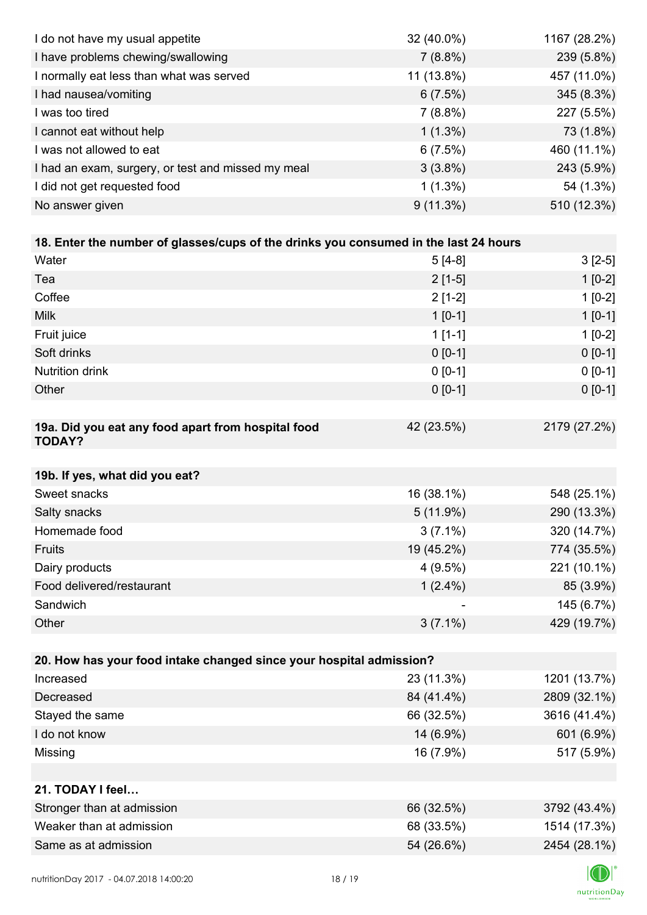| I do not have my usual appetite                                                      | 32 (40.0%)  | 1167 (28.2%) |
|--------------------------------------------------------------------------------------|-------------|--------------|
| I have problems chewing/swallowing                                                   | 7(8.8%)     | 239 (5.8%)   |
| I normally eat less than what was served                                             | 11 (13.8%)  | 457 (11.0%)  |
| I had nausea/vomiting                                                                | 6(7.5%)     | 345 (8.3%)   |
| I was too tired                                                                      | $7(8.8\%)$  | 227 (5.5%)   |
| I cannot eat without help                                                            | $1(1.3\%)$  | 73 (1.8%)    |
| I was not allowed to eat                                                             | 6(7.5%)     | 460 (11.1%)  |
| I had an exam, surgery, or test and missed my meal                                   | $3(3.8\%)$  | 243 (5.9%)   |
| I did not get requested food                                                         | $1(1.3\%)$  | 54 (1.3%)    |
| No answer given                                                                      | 9(11.3%)    | 510 (12.3%)  |
|                                                                                      |             |              |
| 18. Enter the number of glasses/cups of the drinks you consumed in the last 24 hours |             |              |
| Water                                                                                | $5[4-8]$    | $3[2-5]$     |
| Tea                                                                                  | $2[1-5]$    | $1[0-2]$     |
| Coffee                                                                               | $2[1-2]$    | $1[0-2]$     |
| <b>Milk</b>                                                                          | $1 [0-1]$   | $1[0-1]$     |
| Fruit juice                                                                          | $1[1-1]$    | $1[0-2]$     |
| Soft drinks                                                                          | $0 [0-1]$   | $0[0-1]$     |
| <b>Nutrition drink</b>                                                               | $0 [0-1]$   | $0 [0-1]$    |
| Other                                                                                | $0[0-1]$    | $0 [0-1]$    |
|                                                                                      |             |              |
| 19a. Did you eat any food apart from hospital food<br><b>TODAY?</b>                  | 42 (23.5%)  | 2179 (27.2%) |
| 19b. If yes, what did you eat?                                                       |             |              |
| Sweet snacks                                                                         | 16 (38.1%)  | 548 (25.1%)  |
| Salty snacks                                                                         | $5(11.9\%)$ | 290 (13.3%)  |
| Homemade food                                                                        | $3(7.1\%)$  | 320 (14.7%)  |
| Fruits                                                                               | 19 (45.2%)  | 774 (35.5%)  |
| Dairy products                                                                       | 4(9.5%)     | 221 (10.1%)  |
| Food delivered/restaurant                                                            | $1(2.4\%)$  | 85 (3.9%)    |
| Sandwich                                                                             |             | 145 (6.7%)   |
| Other                                                                                | $3(7.1\%)$  | 429 (19.7%)  |
|                                                                                      |             |              |
| 20. How has your food intake changed since your hospital admission?                  |             |              |
| Increased                                                                            | 23 (11.3%)  | 1201 (13.7%) |
| Decreased                                                                            | 84 (41.4%)  | 2809 (32.1%) |
| Stayed the same                                                                      | 66 (32.5%)  | 3616 (41.4%) |
| I do not know                                                                        | 14 (6.9%)   | 601 (6.9%)   |
| Missing                                                                              | 16 (7.9%)   | 517 (5.9%)   |
|                                                                                      |             |              |
| 21. TODAY I feel                                                                     |             |              |
| Stronger than at admission                                                           | 66 (32.5%)  | 3792 (43.4%) |
| Weaker than at admission                                                             | 68 (33.5%)  | 1514 (17.3%) |
| Same as at admission                                                                 | 54 (26.6%)  | 2454 (28.1%) |
|                                                                                      |             |              |